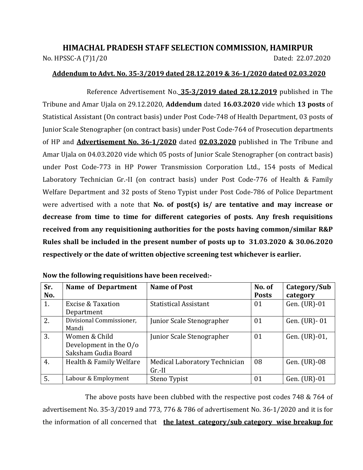# **HIMACHAL PRADESH STAFF SELECTION COMMISSION, HAMIRPUR** No. HPSSC-A (7)1/20 Dated: 22.07.2020

#### **Addendum to Advt. No. 35-3/2019 dated 28.12.2019 & 36-1/2020 dated 02.03.2020**

Reference Advertisement No. **35-3/2019 dated 28.12.2019** published in The Tribune and Amar Ujala on 29.12.2020, **Addendum** dated **16.03.2020** vide which **13 posts** of Statistical Assistant (On contract basis) under Post Code-748 of Health Department, 03 posts of Junior Scale Stenographer (on contract basis) under Post Code-764 of Prosecution departments of HP and **Advertisement No. 36-1/2020** dated **02.03.2020** published in The Tribune and Amar Ujala on 04.03.2020 vide which 05 posts of Junior Scale Stenographer (on contract basis) under Post Code-773 in HP Power Transmission Corporation Ltd., 154 posts of Medical Laboratory Technician Gr.-II (on contract basis) under Post Code-776 of Health & Family Welfare Department and 32 posts of Steno Typist under Post Code-786 of Police Department were advertised with a note that **No. of post(s) is/ are tentative and may increase or decrease from time to time for different categories of posts. Any fresh requisitions received from any requisitioning authorities for the posts having common/similar R&P Rules shall be included in the present number of posts up to 31.03.2020 & 30.06.2020 respectively or the date of written objective screening test whichever is earlier.** 

| Sr.<br>No. | <b>Name of Department</b>                                                 | <b>Name of Post</b>                       | No. of<br><b>Posts</b> | Category/Sub<br>category |
|------------|---------------------------------------------------------------------------|-------------------------------------------|------------------------|--------------------------|
| 1.         | <b>Excise &amp; Taxation</b><br>Department                                | <b>Statistical Assistant</b>              | 01                     | Gen. (UR)-01             |
| 2.         | Divisional Commissioner,<br>Mandi                                         | Junior Scale Stenographer                 | 01                     | Gen. (UR) - 01           |
| 3.         | Women & Child<br>Development in the $0$ / $\sigma$<br>Saksham Gudia Board | Junior Scale Stenographer                 | 01                     | Gen. (UR)-01,            |
| 4.         | Health & Family Welfare                                                   | Medical Laboratory Technician<br>$Gr.-II$ | 08                     | Gen. (UR)-08             |
| 5.         | Labour & Employment                                                       | Steno Typist                              | 01                     | Gen. (UR)-01             |

| Now the following requisitions have been received:- |
|-----------------------------------------------------|
|-----------------------------------------------------|

The above posts have been clubbed with the respective post codes 748 & 764 of advertisement No. 35-3/2019 and 773, 776 & 786 of advertisement No. 36-1/2020 and it is for the information of all concerned that **the latest category/sub category wise breakup for**